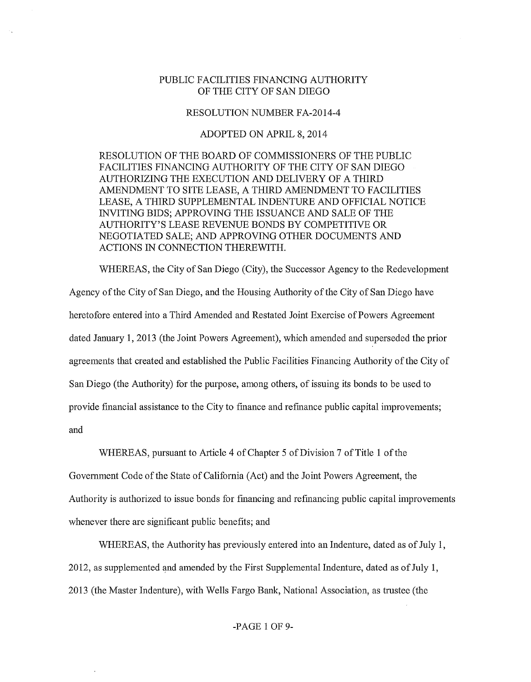## PUBLIC FACILITIES FINANCING AUTHORITY OF THE CITY OF SAN DIEGO

## RESOLUTION NUMBER FA-2014-4

## ADOPTED ON APRIL 8, 2014

RESOLUTION OF THE BOARD OF COMMISSIONERS OF THE PUBLIC FACILITIES FINANCING AUTHORITY OF THE CITY OF SAN DIEGO AUTHORIZING THE EXECUTION AND DELIVERY OF A THIRD AMENDMENT TO SITE LEASE, A THIRD AMENDMENT TO FACILITIES LEASE, A THIRD SUPPLEMENTAL INDENTURE AND OFFICIAL NOTICE INVITING BIDS; APPROVING THE ISSUANCE AND SALE OF THE AUTHORITY'S LEASE REVENUE BONDS BY COMPETITIVE OR NEGOTIATED SALE; AND APPROVING OTHER DOCUMENTS AND ACTIONS IN CONNECTION THEREWITH.

WHEREAS, the City of San Diego (City), the Successor Agency to the Redevelopment Agency of the City of San Diego, and the Housing Authority of the City of San Diego have heretofore entered into a Third Amended and Restated Joint Exercise of Powers Agreement dated January 1, 2013 (the Joint Powers Agreement), which amended and superseded the prior agreements that created and established the Public Facilities Financing Authority of the City of San Diego (the Authority) for the purpose, among others, of issuing its bonds to be used to provide financial assistance to the City to finance and refmance public capital improvements; and

WHEREAS, pursuant to Article 4 of Chapter 5 of Division 7 of Title 1 of the

Government Code of the State of California (Act) and the Joint Powers Agreement, the Authority is authorized to issue bonds for financing and refinancing public capital improvements whenever there are significant public benefits; and

WHEREAS, the Authority has previously entered into an Indenture, dated as of July 1,  $2012$ , as supplemented and amended by the First Supplemental Indenture, dated as of July 1, 2013 (the Master Indenture), with Wells Fargo Bank, National Association, as trustee (the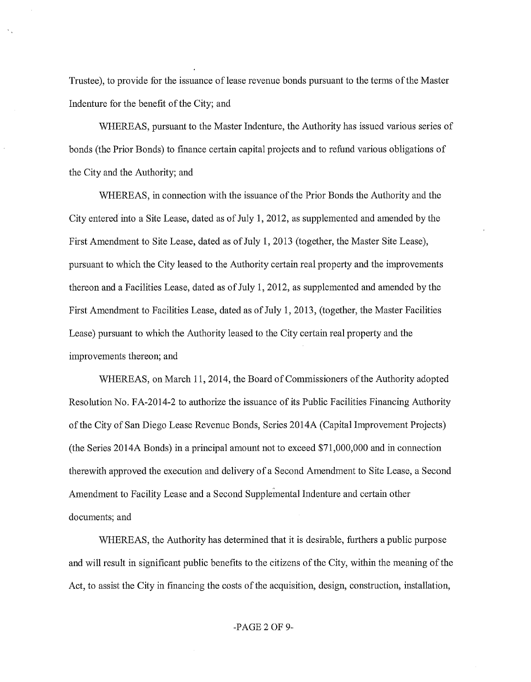Trustee), to provide for the issuance of lease revenue bonds pursuant to the terms of the Master Indenture for the benefit of the City; and

WHEREAS, pursuant to the Master Indenture, the Authority has issued various series of bonds (the Prior Bonds) to finance certain capital projects and to refund various obligations of the City and the Authority; and

WHEREAS, in connection with the issuance of the Prior Bonds the Authority and the City entered into a Site Lease, dated as of July 1, 2012, as supplemented and amended by the First Amendment to Site Lease, dated as of July 1, 2013 (together, the Master Site Lease), pursuant to which the City leased to the Authority certain real property and the improvements thereon and a Facilities Lease, dated as of July 1, 2012, as supplemented and amended by the First Amendment to Facilities Lease, dated as of July 1, 2013, (together, the Master Facilities Lease) pursuant to which the Authority leased to the City certain real property and the improvements thereon; and

WHEREAS, on March 11, 2014, the Board of Commissioners of the Authority adopted Resolution No. FA-2014-2 to authorize the issuance of its Public Facilities Financing Authority of the City of San Diego Lease Revenue Bonds, Series 2014A (Capital Improvement Projects) (the Series 2014A Bonds) in a principal amount not to exceed \$71,000,000 and in connection therewith approved the execution and delivery of a Second Amendment to Site Lease, a Second Amendment to Facility Lease and a Second Suppleinental Indenture and certain other documents; and

WHEREAS, the Authority has determined that it is desirable, furthers a public purpose and will result in significant public benefits to the citizens of the City, within the meaning of the Act, to assist the City in financing the costs of the acquisition, design, construction, installation,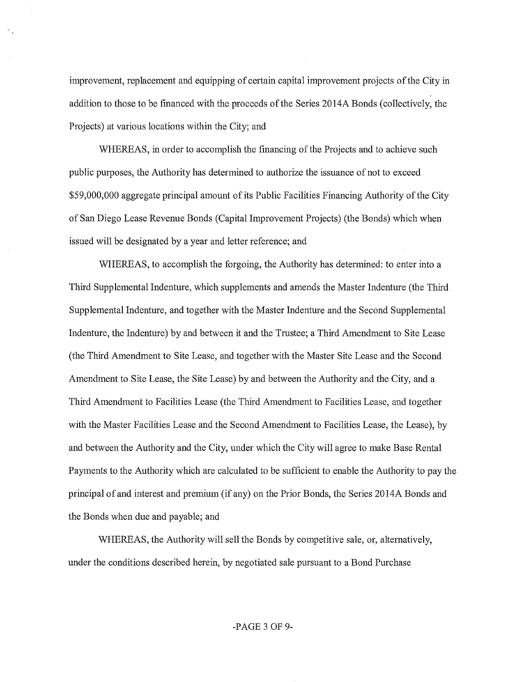improvement, replacement and equipping of certain capital improvement projects of the City in addition to those to be financed with the proceeds of the Series 2014A Bonds (collectively, the Projects) at various locations within the City; and

WHEREAS, in order to accomplish the financing of the Projects and to achieve such public purposes, the Authority has determined to authorize the issuance of not to exceed \$59,000,000 aggregate principal amount of its Public Facilities Financing Authority of the City of San Diego Lease Revenue Bonds (Capital Improvement Projects) (the Bonds) which when issued will be designated by a year and letter reference; and

WHEREAS, to accomplish the forgoing, the Authority has determined: to enter into a Third Supplemental Indenture, which supplements and amends the Master Indenture (the Third Supplemental Indenture, and together with the Master Indenture and the Second Supplemental Indenture, the Indenture) by and between it and the Trustee; a Third Amendment to Site Lease (the Third Amendment to Site Lease, and together with the Master Site Lease and the Second Amendment to Site Lease, the Site Lease) by and between the Authority and the City, and a Third Amendment to Facilities Lease (the Third Amendment to Facilities Lease, and together with the Master Facilities Lease and the Second Amendment to Facilities Lease, the Lease), by and between the Authority and the City, under which the Cify will agree to make Base Rental Payments to the Authority which are calculated to be sufficient to enable the Authority to pay the principal of and interest and premium (if any) on the Prior Bonds, the Series 20 14A Bonds and the Bonds when due and payable; and

WHEREAS, the Authority will sell the Bonds by competitive sale, or, alternatively, under the conditions described herein, by negotiated sale pursuant to a Bond Purchase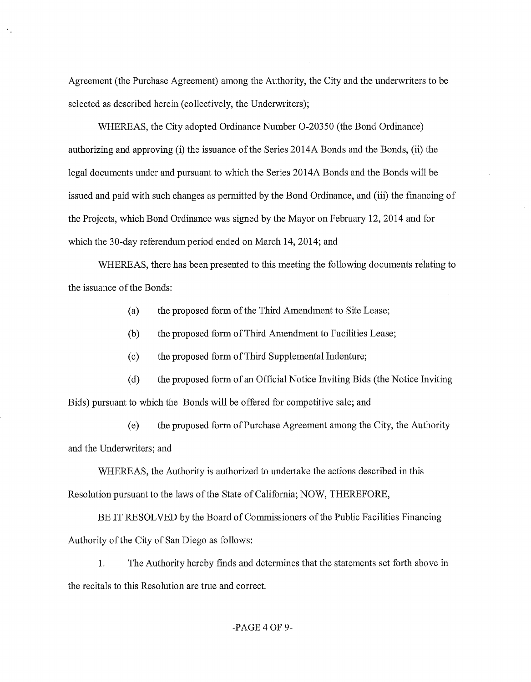Agreement (the Purchase Agreement) among the Authority, the City and the underwriters to be selected as described herein (collectively, the Underwriters);

WHEREAS, the City adopted Ordinance Number 0-20350 (the Bond Ordinance) authorizing and approving (i) the issuance of the Series 2014A Bonds and the Bonds, (ii) the legal documents under and pursuant to which the Series 2014A Bonds and the Bonds will be issued and paid with such changes as permitted by the Bond Ordinance, and (iii) the financing of the Projects, which Bond Ordinance was signed by the Mayor on February 12, 2014 and for which the 30-day referendum period ended on March 14, 2014; and

WHEREAS, there has been presented to this meeting the following documents relating to the issuance of the Bonds:

(a) the proposed form of the Third Amendment to Site Lease;

- (b) the proposed form of Third Amendment to Facilities Lease;
- (c) the proposed form ofThird Supplemental Indenture;

(d) the proposed form of an Official Notice Inviting Bids (the Notice Inviting Bids) pursuant to which the Bonds will be offered for competitive sale; and

(e) the proposed form of Purchase Agreement among the City, the Authority and the Underwriters; and

WHEREAS, the Authority is authorized to undertake the actions described in this Resolution pursuant to the laws of the State of California; NOW, THEREFORE,

BE IT RESOLVED by the Board of Commissioners of the Public Facilities Financing Authority of the City of San Diego as follows:

1. The Authority hereby finds and determines that the statements set forth above in the recitals to this Resolution are true and correct.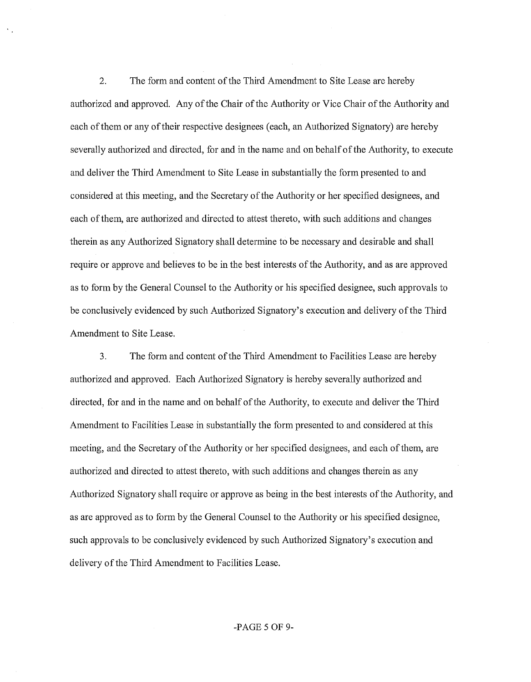2. The form and content of the Third Amendment to Site Lease are hereby authorized and approved. Any of the Chair of the Authority or Vice Chair of the Authority and each of them or any of their respective designees (each, an Authorized Signatory) are hereby severally authorized and directed, for and in the name and on behalf of the Authority, to execute and deliver the Third Amendment to Site Lease in substantially the form presented to and considered at this meeting, and the Secretary of the Authority or her specified designees, and each of them, are authorized and directed to attest thereto, with such additions and changes therein as any Authorized Signatory shall determine to be necessary and desirable and shall require or approve and believes to be in the best interests of the Authority, and as are approved as to form by the General Counsel to the Authority or his specified designee, such approvals to be conclusively evidenced by such Authorized Signatory's execution and delivery of the Third Amendment to Site Lease.

3. The form and content ofthe Third Amendment to Facilities Lease are hereby authorized and approved. Each Authorized Signatory is hereby severally authorized and directed, for and in the name and on behalf of the Authority, to execute and deliver the Third Amendment to Facilities Lease in substantially the form presented to and considered at this meeting, and the Secretary of the Authority or her specified designees, and each of them, are authorized and directed to attest thereto, with such additions and changes therein as any Authorized Signatory shall require or approve as being in the best interests of the Authority, and as are approved as to form by the General Counsel to the Authority or his specified designee, such approvals to be conclusively evidenced by such Authorized Signatory's execution and delivery of the Third Amendment to Facilities Lease.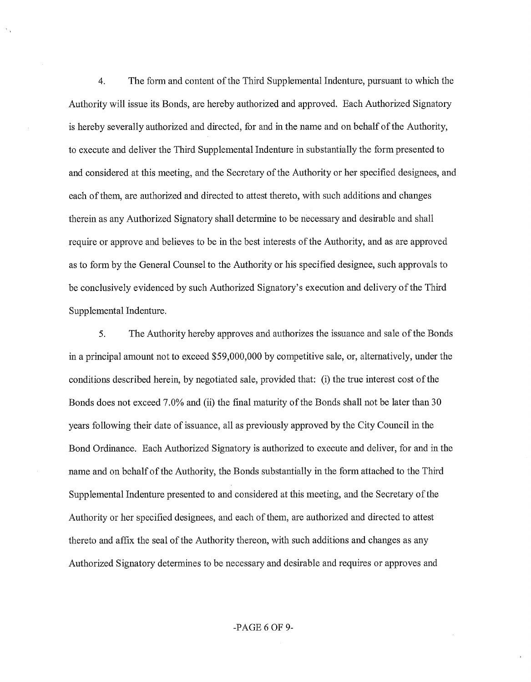4. The fonn and content of the Third Supplemental Indenture, pursuant to which the Authority will issue its Bonds, are hereby authorized and approved. Each Authorized Signatory is hereby severally authorized and directed, for and in the name and on behalf of the Authority, to execute and deliver the Third Supplemental Indenture in substantially the form presented to and considered at this meeting, and the Secretary of the Authority or her specified designees, and each of them, are authorized and directed to attest thereto, with such additions and changes therein as any Authorized Signatory shall determine to be necessary and desirable and shall require or approve and believes to be in the best interests of the Authority, and as are approved as to form by the General Counsel to the Authority or his specified designee, such approvals to be conclusively evidenced by such Authorized Signatory's execution and delivery of the Third Supplemental Indenture.

5. The Authority hereby approves and authorizes the issuance and sale of the Bonds in a principal amount not to exceed \$59,000,000 by competitive sale, or, alternatively, under the conditions described herein, by negotiated sale, provided that: (i) the true interest cost of the Bonds does not exceed 7.0% and (ii) the final maturity of the Bonds shall not be later than 30 years following their date of issuance, all as previously approved by the City Council in the Bond Ordinance. Each Authorized Signatory is authorized to execute and deliver, for and in the name and on behalf of the Authority, the Bonds substantially in the form attached to the Third Supplemental Indenture presented to and considered at this meeting, and the Secretary of the Authority or her specified designees, and each of them, are authorized and directed to attest thereto and affix the seal of the Authority thereon, with such additions and changes as any Authorized Signatory determines to be necessary and desirable and requires or approves and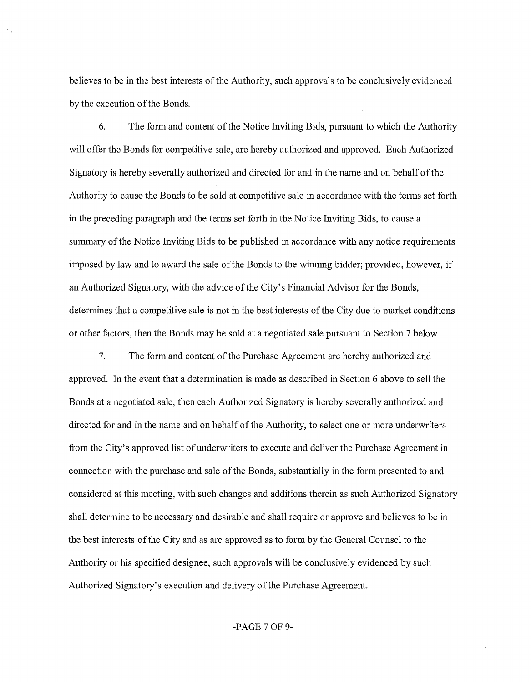believes to be in the best interests of the Authority, such approvals to be conclusively evidenced by the execution of the Bonds.

6. The form and content of the Notice Inviting Bids, pursuant to which the Authority will offer the Bonds for competitive sale, are hereby authorized and approved. Each Authorized Signatory is hereby severally authorized and directed for and in the name and on behalf of the Authority to cause the Bonds to be sold at competitive sale in accordance with the terms set forth in the preceding paragraph and the terms set forth in the Notice Inviting Bids, to cause a summary of the Notice Inviting Bids to be published in accordance with any notice requirements imposed by law and to award the sale of the Bonds to the whming bidder; provided, however, if an Authorized Signatory, with the advice of the City's Financial Advisor for the Bonds, determines that a competitive sale is not in the best interests of the City due to market conditions or other factors, then the Bonds may be sold at a negotiated sale pursuant to Section 7 below.

7. The form and content of the Purchase Agreement are hereby authorized and approved. In the event that a determination is made as described in Section 6 above to sell the Bonds at a negotiated sale, then each Authorized Signatory is hereby severally authorized and directed for and in the name and on behalf of the Authority, to select one or more underwriters from the City's approved list of underwriters to execute and deliver the Purchase Agreement in connection with the purchase and sale of the Bonds, substantially in the form presented to and considered at this meeting, with such changes and additions therein as such Authorized Signatory shall determine to be necessary and desirable and shall require or approve and believes to be in the best interests of the City and as are approved as to form by the General Counsel to the Authority or his specified designee, such approvals will be conclusively evidenced by such Authorized Signatory's execution and delivery of the Purchase Agreement.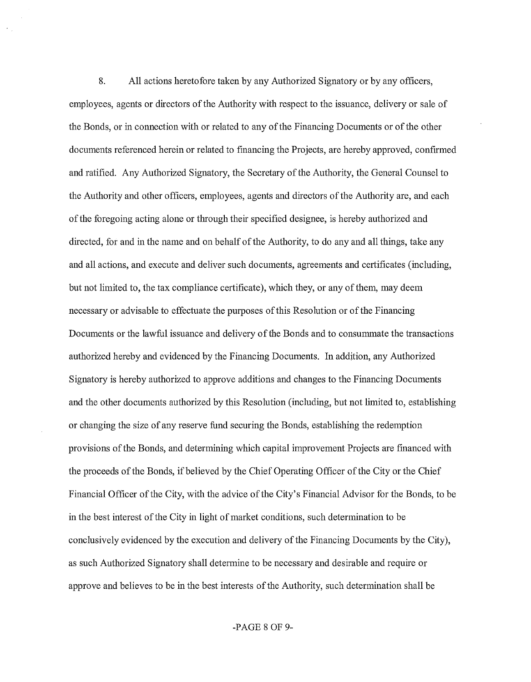8. All actions heretofore taken by any Authorized Signatory or by any officers, employees, agents or directors of the Authority with respect to the issuance, delivery or sale of the Bonds, or in connection with or related to any of the Financing Documents or of the other documents referenced herein or related to financing the Projects, are hereby approved, confirmed and ratified. Any Authorized Signatory, the Secretary of the Authority, the General Counsel to the Authority and other officers, employees, agents and directors of the Authority are, and each of the foregoing acting alone or through their specified designee, is hereby authorized and directed, for and in the name and on behalf of the Authority, to do any and all things, take any and all actions, and execute and deliver such documents, agreements and certificates (including, but not limited to, the tax compliance certificate), which they, or any of them, may deem necessary or advisable to effectuate the purposes of this Resolution or of the Financing Documents or the lawful issuance and delivery of the Bonds and to consummate the transactions authorized hereby and evidenced by the Financing Documents. In addition, any Authorized Signatory is hereby authorized to approve additions and changes to the Financing Documents and the other documents authorized by this Resolution (including, but not limited to, establishing or changing the size of any reserve fund securing the Bonds, establishing the redemption provisions of the Bonds, and determining which capital improvement Projects are financed with the proceeds of the Bonds, if believed by the Chief Operating Officer of the City or the Chief Financial Officer of the City, with the advice of the City's Financial Advisor for the Bonds, to be in the best interest of the City in light of market conditions, such determination to be conclusively evidenced by the execution and delivery of the Financing Documents by the City), as such Authorized Signatory shall determine to be necessary and desirable and require or approve and believes to be in the best interests of the Authority, such determination shall be